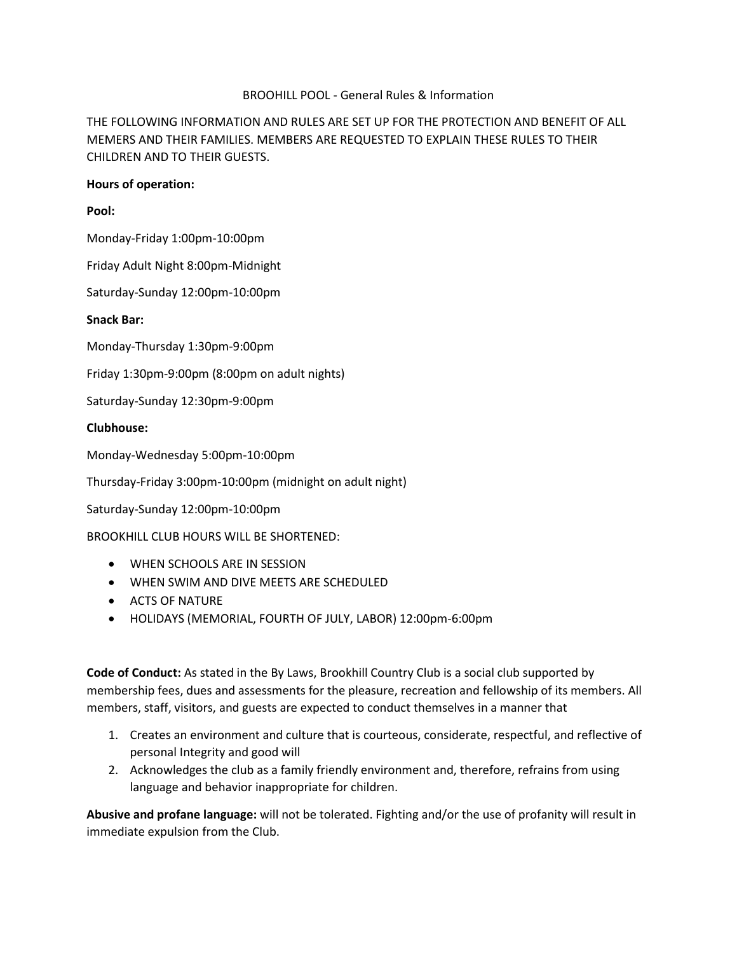### BROOHILL POOL - General Rules & Information

# THE FOLLOWING INFORMATION AND RULES ARE SET UP FOR THE PROTECTION AND BENEFIT OF ALL MEMERS AND THEIR FAMILIES. MEMBERS ARE REQUESTED TO EXPLAIN THESE RULES TO THEIR CHILDREN AND TO THEIR GUESTS.

#### **Hours of operation:**

### **Pool:**

Monday-Friday 1:00pm-10:00pm

Friday Adult Night 8:00pm-Midnight

Saturday-Sunday 12:00pm-10:00pm

### **Snack Bar:**

Monday-Thursday 1:30pm-9:00pm

Friday 1:30pm-9:00pm (8:00pm on adult nights)

Saturday-Sunday 12:30pm-9:00pm

## **Clubhouse:**

Monday-Wednesday 5:00pm-10:00pm

Thursday-Friday 3:00pm-10:00pm (midnight on adult night)

Saturday-Sunday 12:00pm-10:00pm

BROOKHILL CLUB HOURS WILL BE SHORTENED:

- WHEN SCHOOLS ARE IN SESSION
- WHEN SWIM AND DIVE MEETS ARE SCHEDULED
- ACTS OF NATURE
- HOLIDAYS (MEMORIAL, FOURTH OF JULY, LABOR) 12:00pm-6:00pm

**Code of Conduct:** As stated in the By Laws, Brookhill Country Club is a social club supported by membership fees, dues and assessments for the pleasure, recreation and fellowship of its members. All members, staff, visitors, and guests are expected to conduct themselves in a manner that

- 1. Creates an environment and culture that is courteous, considerate, respectful, and reflective of personal Integrity and good will
- 2. Acknowledges the club as a family friendly environment and, therefore, refrains from using language and behavior inappropriate for children.

**Abusive and profane language:** will not be tolerated. Fighting and/or the use of profanity will result in immediate expulsion from the Club.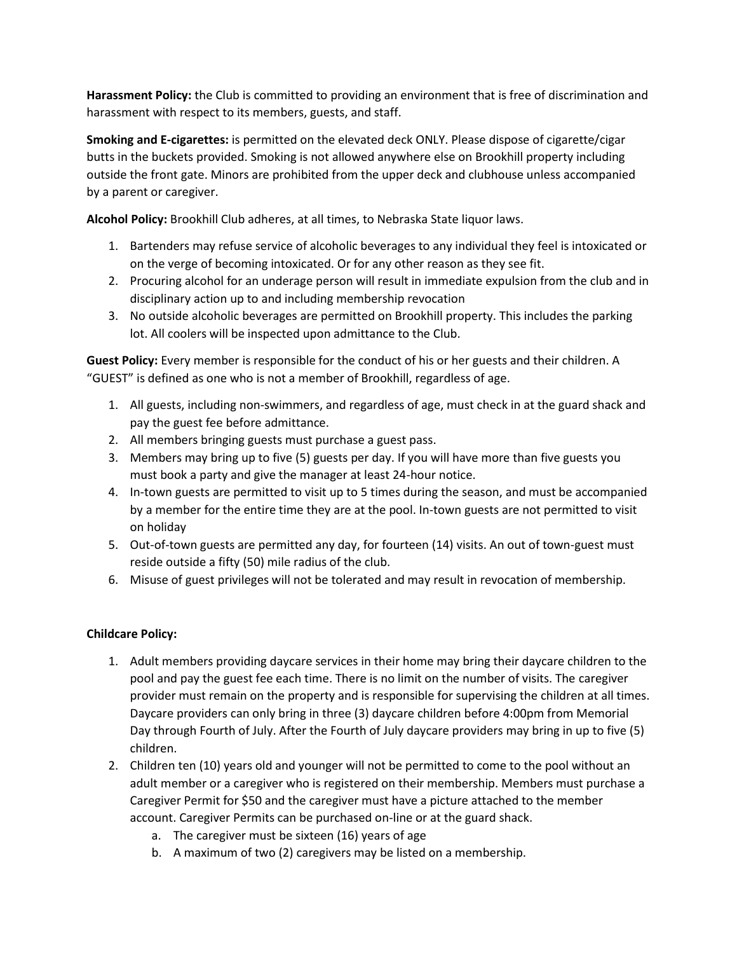**Harassment Policy:** the Club is committed to providing an environment that is free of discrimination and harassment with respect to its members, guests, and staff.

**Smoking and E-cigarettes:** is permitted on the elevated deck ONLY. Please dispose of cigarette/cigar butts in the buckets provided. Smoking is not allowed anywhere else on Brookhill property including outside the front gate. Minors are prohibited from the upper deck and clubhouse unless accompanied by a parent or caregiver.

**Alcohol Policy:** Brookhill Club adheres, at all times, to Nebraska State liquor laws.

- 1. Bartenders may refuse service of alcoholic beverages to any individual they feel is intoxicated or on the verge of becoming intoxicated. Or for any other reason as they see fit.
- 2. Procuring alcohol for an underage person will result in immediate expulsion from the club and in disciplinary action up to and including membership revocation
- 3. No outside alcoholic beverages are permitted on Brookhill property. This includes the parking lot. All coolers will be inspected upon admittance to the Club.

**Guest Policy:** Every member is responsible for the conduct of his or her guests and their children. A "GUEST" is defined as one who is not a member of Brookhill, regardless of age.

- 1. All guests, including non-swimmers, and regardless of age, must check in at the guard shack and pay the guest fee before admittance.
- 2. All members bringing guests must purchase a guest pass.
- 3. Members may bring up to five (5) guests per day. If you will have more than five guests you must book a party and give the manager at least 24-hour notice.
- 4. In-town guests are permitted to visit up to 5 times during the season, and must be accompanied by a member for the entire time they are at the pool. In-town guests are not permitted to visit on holiday
- 5. Out-of-town guests are permitted any day, for fourteen (14) visits. An out of town-guest must reside outside a fifty (50) mile radius of the club.
- 6. Misuse of guest privileges will not be tolerated and may result in revocation of membership.

# **Childcare Policy:**

- 1. Adult members providing daycare services in their home may bring their daycare children to the pool and pay the guest fee each time. There is no limit on the number of visits. The caregiver provider must remain on the property and is responsible for supervising the children at all times. Daycare providers can only bring in three (3) daycare children before 4:00pm from Memorial Day through Fourth of July. After the Fourth of July daycare providers may bring in up to five (5) children.
- 2. Children ten (10) years old and younger will not be permitted to come to the pool without an adult member or a caregiver who is registered on their membership. Members must purchase a Caregiver Permit for \$50 and the caregiver must have a picture attached to the member account. Caregiver Permits can be purchased on-line or at the guard shack.
	- a. The caregiver must be sixteen (16) years of age
	- b. A maximum of two (2) caregivers may be listed on a membership.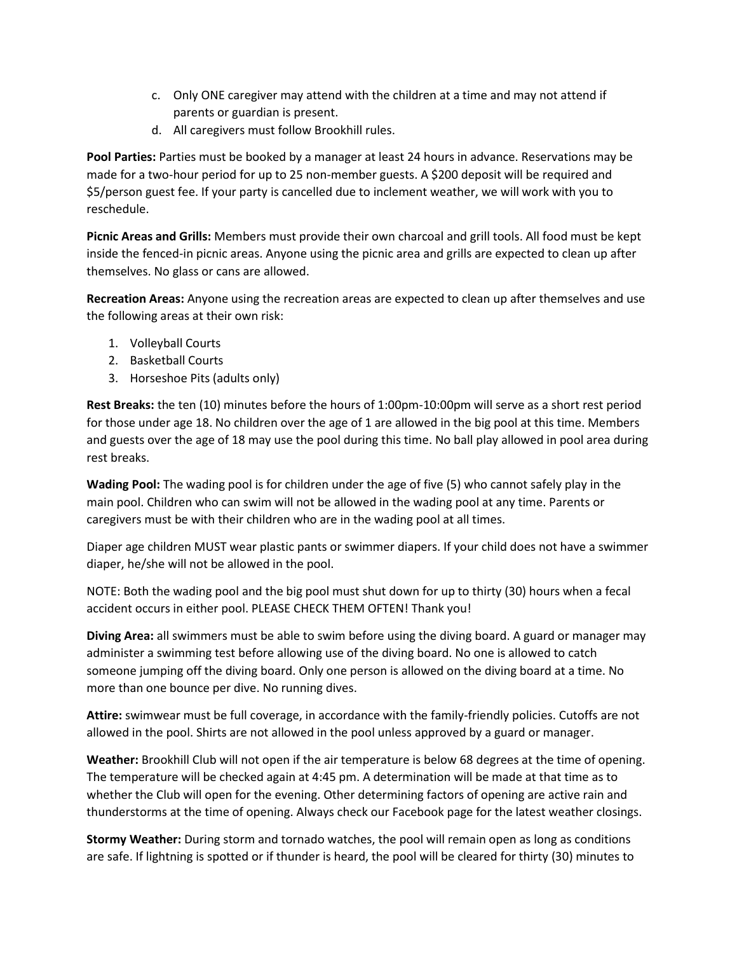- c. Only ONE caregiver may attend with the children at a time and may not attend if parents or guardian is present.
- d. All caregivers must follow Brookhill rules.

**Pool Parties:** Parties must be booked by a manager at least 24 hours in advance. Reservations may be made for a two-hour period for up to 25 non-member guests. A \$200 deposit will be required and \$5/person guest fee. If your party is cancelled due to inclement weather, we will work with you to reschedule.

**Picnic Areas and Grills:** Members must provide their own charcoal and grill tools. All food must be kept inside the fenced-in picnic areas. Anyone using the picnic area and grills are expected to clean up after themselves. No glass or cans are allowed.

**Recreation Areas:** Anyone using the recreation areas are expected to clean up after themselves and use the following areas at their own risk:

- 1. Volleyball Courts
- 2. Basketball Courts
- 3. Horseshoe Pits (adults only)

**Rest Breaks:** the ten (10) minutes before the hours of 1:00pm-10:00pm will serve as a short rest period for those under age 18. No children over the age of 1 are allowed in the big pool at this time. Members and guests over the age of 18 may use the pool during this time. No ball play allowed in pool area during rest breaks.

**Wading Pool:** The wading pool is for children under the age of five (5) who cannot safely play in the main pool. Children who can swim will not be allowed in the wading pool at any time. Parents or caregivers must be with their children who are in the wading pool at all times.

Diaper age children MUST wear plastic pants or swimmer diapers. If your child does not have a swimmer diaper, he/she will not be allowed in the pool.

NOTE: Both the wading pool and the big pool must shut down for up to thirty (30) hours when a fecal accident occurs in either pool. PLEASE CHECK THEM OFTEN! Thank you!

**Diving Area:** all swimmers must be able to swim before using the diving board. A guard or manager may administer a swimming test before allowing use of the diving board. No one is allowed to catch someone jumping off the diving board. Only one person is allowed on the diving board at a time. No more than one bounce per dive. No running dives.

**Attire:** swimwear must be full coverage, in accordance with the family-friendly policies. Cutoffs are not allowed in the pool. Shirts are not allowed in the pool unless approved by a guard or manager.

**Weather:** Brookhill Club will not open if the air temperature is below 68 degrees at the time of opening. The temperature will be checked again at 4:45 pm. A determination will be made at that time as to whether the Club will open for the evening. Other determining factors of opening are active rain and thunderstorms at the time of opening. Always check our Facebook page for the latest weather closings.

**Stormy Weather:** During storm and tornado watches, the pool will remain open as long as conditions are safe. If lightning is spotted or if thunder is heard, the pool will be cleared for thirty (30) minutes to